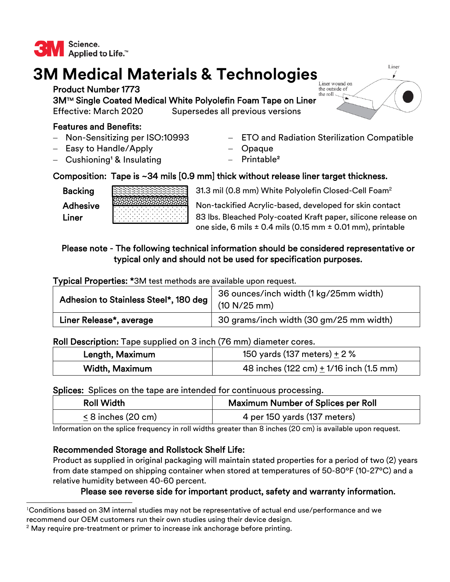

# **3M Medical Materials & Technologies**

Product Number 1773 3M™ Single Coated Medical White Polyolefin Foam Tape on Liner Effective: March 2020 Supersedes all previous versions

# Features and Benefits:

- Non-Sensitizing per ISO:10993
- $-$  Easy to Handle/Apply
- $-$  Cushioning<sup>1</sup> & Insulating
- ETO and Radiation Sterilization Compatible
- Opaque
- $-$  Printable<sup>2</sup>

# Composition: Tape is ~34 mils [0.9 mm] thick without release liner target thickness.

Backing



31.3 mil (0.8 mm) White Polyolefin Closed-Cell Foam<sup>2</sup>

Adhesive **Non-tackified Acrylic-based, developed for skin contact** Liner **83 lbs. Bleached Poly-coated Kraft paper, silicone release on** one side, 6 mils  $\pm$  0.4 mils (0.15 mm  $\pm$  0.01 mm), printable

# Please note - The following technical information should be considered representative or typical only and should not be used for specification purposes.

Typical Properties: \*3M test methods are available upon request.

| Adhesion to Stainless Steel*, 180 deg | 36 ounces/inch width (1 kg/25mm width)  |
|---------------------------------------|-----------------------------------------|
|                                       | (10 N/25 mm)                            |
| Liner Release*, average               | 30 grams/inch width (30 gm/25 mm width) |

## Roll Description: Tape supplied on 3 inch (76 mm) diameter cores.

| Length, Maximum | 150 yards (137 meters) $\pm$ 2 %                            |
|-----------------|-------------------------------------------------------------|
| Width, Maximum  | 48 inches $(122 \text{ cm}) + 1/16$ inch $(1.5 \text{ mm})$ |

#### Splices: Splices on the tape are intended for continuous processing.

| <b>Roll Width</b>    | <b>Maximum Number of Splices per Roll</b> |
|----------------------|-------------------------------------------|
| $< 8$ inches (20 cm) | 4 per 150 yards (137 meters)              |

Information on the splice frequency in roll widths greater than 8 inches (20 cm) is available upon request.

## Recommended Storage and Rollstock Shelf Life:

Product as supplied in original packaging will maintain stated properties for a period of two (2) years from date stamped on shipping container when stored at temperatures of 50-80ºF (10-27ºC) and a relative humidity between 40-60 percent.

## Please see reverse side for important product, safety and warranty information.



 $^{\text{l}}$ Conditions based on 3M internal studies may not be representative of actual end use/performance and we recommend our OEM customers run their own studies using their device design.

 $2$  May require pre-treatment or primer to increase ink anchorage before printing.